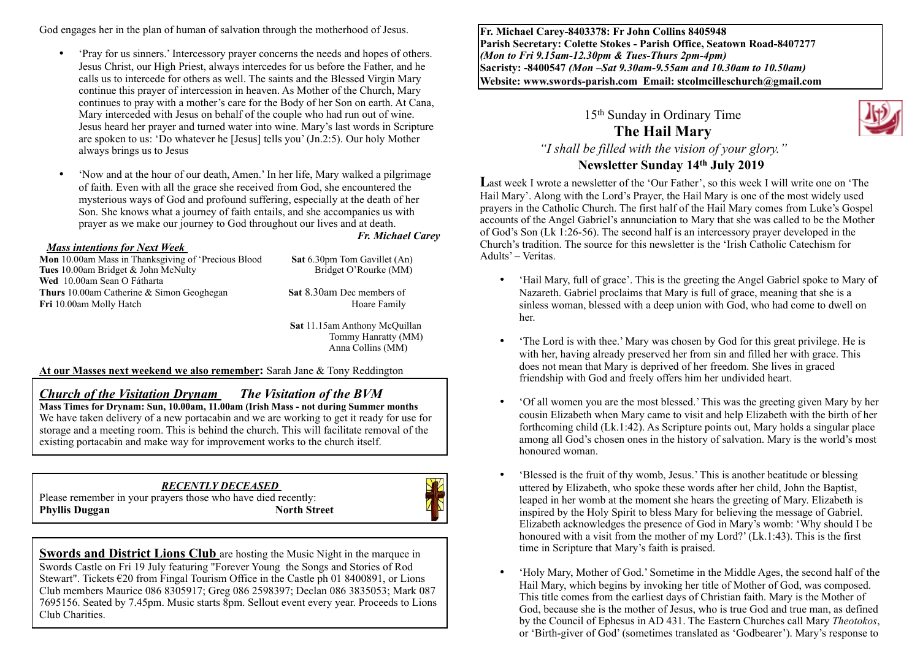God engages her in the plan of human of salvation through the motherhood of Jesus.

- 'Pray for us sinners.' Intercessory prayer concerns the needs and hopes of others. Jesus Christ, our High Priest, always intercedes for us before the Father, and he calls us to intercede for others as well. The saints and the Blessed Virgin Mary continue this prayer of intercession in heaven. As Mother of the Church, Mary continues to pray with a mother's care for the Body of her Son on earth. At Cana, Mary interceded with Jesus on behalf of the couple who had run out of wine. Jesus heard her prayer and turned water into wine. Mary's last words in Scripture are spoken to us: 'Do whatever he [Jesus] tells you' (Jn.2:5). Our holy Mother always brings us to Jesus
- 'Now and at the hour of our death, Amen.' In her life, Mary walked a pilgrimage of faith. Even with all the grace she received from God, she encountered the mysterious ways of God and profound suffering, especially at the death of her Son. She knows what a journey of faith entails, and she accompanies us with prayer as we make our journey to God throughout our lives and at death. *Fr. Michael Carey*

#### *Mass intentions for Next Week*

**Mon** 10.00am Mass in Thanksgiving of 'Precious Blood **Sat** 6.30pm Tom Gavillet (An) **Tues** 10.00am Bridget & John McNulty **Bridget O'Rourke (MM)** Tues 10.00am Bridget & John McNulty **Wed** 10.00am Sean O Fátharta **Thurs** 10.00am Catherine & Simon Geoghegan **Sat** 8.30am Dec members of **Fri** 10.00am Molly Hatch *Hoare Family* **Hoare Family** 

 **Sat** 11.15am Anthony McQuillan Tommy Hanratty (MM) Anna Collins (MM)

#### **At our Masses next weekend we also remember:** Sarah Jane & Tony Reddington

*Church of the Visitation Drynam**The Visitation of the BVM* **Mass Times for Drynam: Sun, 10.00am, 11.00am (Irish Mass - not during Summer months** We have taken delivery of a new portacabin and we are working to get it ready for use for storage and a meeting room. This is behind the church. This will facilitate removal of the existing portacabin and make way for improvement works to the church itself.

## *RECENTLY DECEASED*

Please remember in your prayers those who have died recently: **Phyllis Duggan North Street** 



**Swords and District Lions Club** are hosting the Music Night in the marquee in Swords Castle on Fri 19 July featuring "Forever Young the Songs and Stories of Rod Stewart". Tickets  $\epsilon$ 20 from Fingal Tourism Office in the Castle ph 01 8400891, or Lions Club members Maurice 086 8305917; Greg 086 2598397; Declan 086 3835053; Mark 087 7695156. Seated by 7.45pm. Music starts 8pm. Sellout event every year. Proceeds to Lions Club Charities.

**Fr. Michael Carey-8403378: Fr John Collins 8405948 Parish Secretary: Colette Stokes - Parish Office, Seatown Road-8407277**  *(Mon to Fri 9.15am-12.30pm & Tues-Thurs 2pm-4pm)*  **Sacristy: -8400547** *(Mon –Sat 9.30am-9.55am and 10.30am to 10.50am)* **Website: [www.swords-parish.com Email:](http://www.swords-parish.com%20%20email) stcolmcilleschurch@gmail.com**

# 15th Sunday in Ordinary Time **The Hail Mary** *"I shall be filled with the vision of your glory."*  **Newsletter Sunday 14th July 2019**

Last week I wrote a newsletter of the 'Our Father', so this week I will write one on 'The Hail Mary'. Along with the Lord's Prayer, the Hail Mary is one of the most widely used prayers in the Catholic Church. The first half of the Hail Mary comes from Luke's Gospel accounts of the Angel Gabriel's annunciation to Mary that she was called to be the Mother of God's Son (Lk 1:26-56). The second half is an intercessory prayer developed in the Church's tradition. The source for this newsletter is the 'Irish Catholic Catechism for Adults' – Veritas.

- 'Hail Mary, full of grace'. This is the greeting the Angel Gabriel spoke to Mary of Nazareth. Gabriel proclaims that Mary is full of grace, meaning that she is a sinless woman, blessed with a deep union with God, who had come to dwell on her.
- 'The Lord is with thee.' Mary was chosen by God for this great privilege. He is with her, having already preserved her from sin and filled her with grace. This does not mean that Mary is deprived of her freedom. She lives in graced friendship with God and freely offers him her undivided heart.
- 'Of all women you are the most blessed.' This was the greeting given Mary by her cousin Elizabeth when Mary came to visit and help Elizabeth with the birth of her forthcoming child (Lk.1:42). As Scripture points out, Mary holds a singular place among all God's chosen ones in the history of salvation. Mary is the world's most honoured woman.
- 'Blessed is the fruit of thy womb, Jesus.' This is another beatitude or blessing uttered by Elizabeth, who spoke these words after her child, John the Baptist, leaped in her womb at the moment she hears the greeting of Mary. Elizabeth is inspired by the Holy Spirit to bless Mary for believing the message of Gabriel. Elizabeth acknowledges the presence of God in Mary's womb: 'Why should I be honoured with a visit from the mother of my Lord?' (Lk.1:43). This is the first time in Scripture that Mary's faith is praised.
- 'Holy Mary, Mother of God.' Sometime in the Middle Ages, the second half of the Hail Mary, which begins by invoking her title of Mother of God, was composed. This title comes from the earliest days of Christian faith. Mary is the Mother of God, because she is the mother of Jesus, who is true God and true man, as defined by the Council of Ephesus in AD 431. The Eastern Churches call Mary *Theotokos*, or 'Birth-giver of God' (sometimes translated as 'Godbearer'). Mary's response to